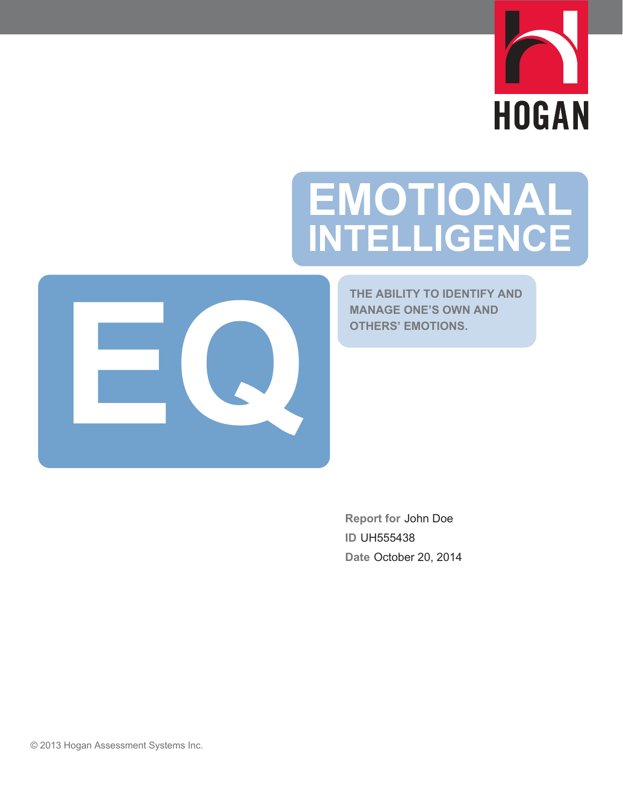

# **EMOTIONAL INTELLIGENCE**

**THE ABILITY TO IDENTIFY AND MANAGE ONE'S OWN AND OTHERS' EMOTIONS.**



**Report for** John Doe **ID** UH555438 **Date** October 20, 2014

© 2013 Hogan Assessment Systems Inc.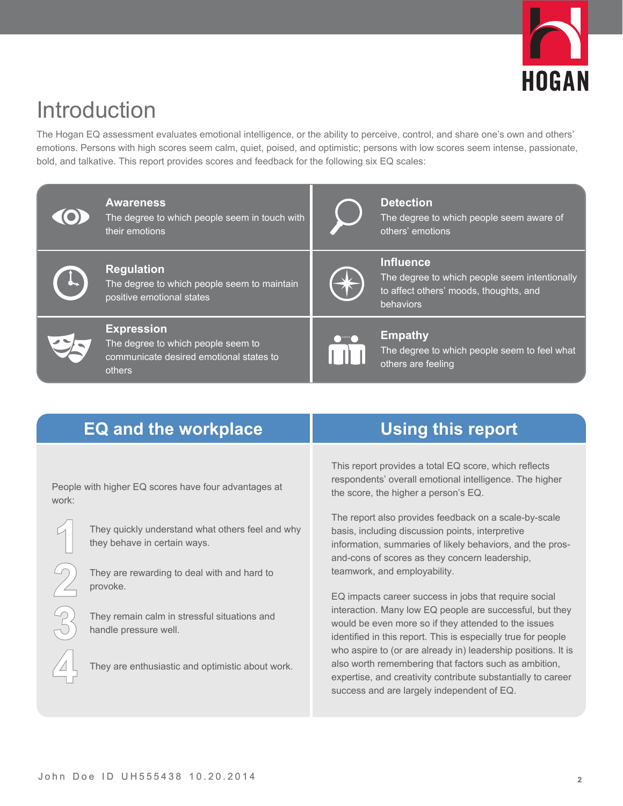

## Introduction

The Hogan EQ assessment evaluates emotional intelligence, or the ability to perceive, control, and share one's own and others' emotions. Persons with high scores seem calm, quiet, poised, and optimistic; persons with low scores seem intense, passionate, bold, and talkative. This report provides scores and feedback for the following six EQ scales:

| <b>Awareness</b><br>The degree to which people seem in touch with<br>their emotions                          |                     | <b>Detection</b><br>The degree to which people seem aware of<br>others' emotions                                         |
|--------------------------------------------------------------------------------------------------------------|---------------------|--------------------------------------------------------------------------------------------------------------------------|
| <b>Regulation</b><br>The degree to which people seem to maintain<br>positive emotional states                |                     | <b>Influence</b><br>The degree to which people seem intentionally<br>to affect others' moods, thoughts, and<br>behaviors |
| <b>Expression</b><br>The degree to which people seem to<br>communicate desired emotional states to<br>others | <b>The Contract</b> | <b>Empathy</b><br>The degree to which people seem to feel what<br>others are feeling                                     |

### **EQ and the workplace Using this report**

People with higher EQ scores have four advantages at work:

> They quickly understand what others feel and why they behave in certain ways.

They are rewarding to deal with and hard to provoke.

They remain calm in stressful situations and handle pressure well.

They are enthusiastic and optimistic about work.

This report provides a total EQ score, which reflects respondents' overall emotional intelligence. The higher the score, the higher a person's EQ.

The report also provides feedback on a scale-by-scale basis, including discussion points, interpretive information, summaries of likely behaviors, and the prosand-cons of scores as they concern leadership, teamwork, and employability.

EQ impacts career success in jobs that require social interaction. Many low EQ people are successful, but they would be even more so if they attended to the issues identified in this report. This is especially true for people who aspire to (or are already in) leadership positions. It is also worth remembering that factors such as ambition, expertise, and creativity contribute substantially to career success and are largely independent of EQ.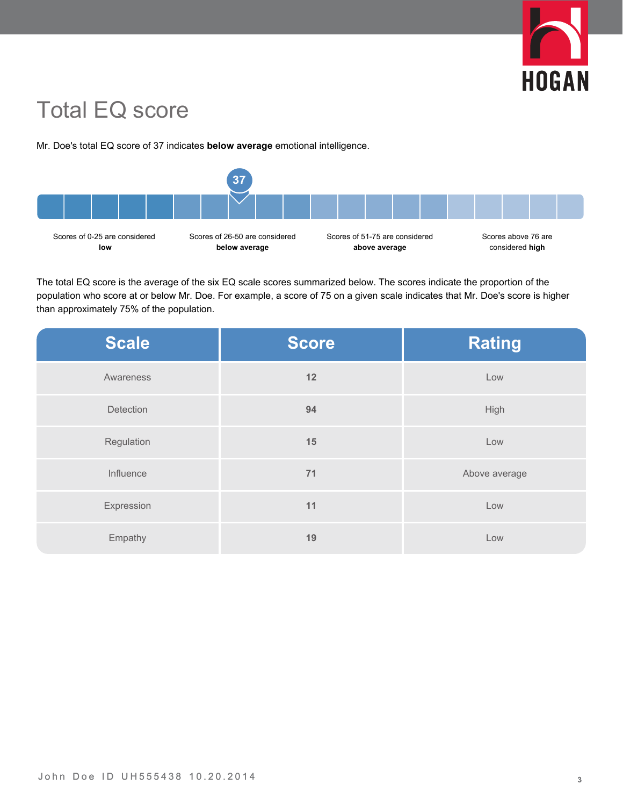

### Total EQ score

Mr. Doe's total EQ score of 37 indicates **below average** emotional intelligence.



The total EQ score is the average of the six EQ scale scores summarized below. The scores indicate the proportion of the population who score at or below Mr. Doe. For example, a score of 75 on a given scale indicates that Mr. Doe's score is higher than approximately 75% of the population.

| <b>Scale</b> | <b>Score</b> | <b>Rating</b> |
|--------------|--------------|---------------|
| Awareness    | 12           | Low           |
| Detection    | 94           | High          |
| Regulation   | 15           | Low           |
| Influence    | 71           | Above average |
| Expression   | 11           | Low           |
| Empathy      | 19           | Low           |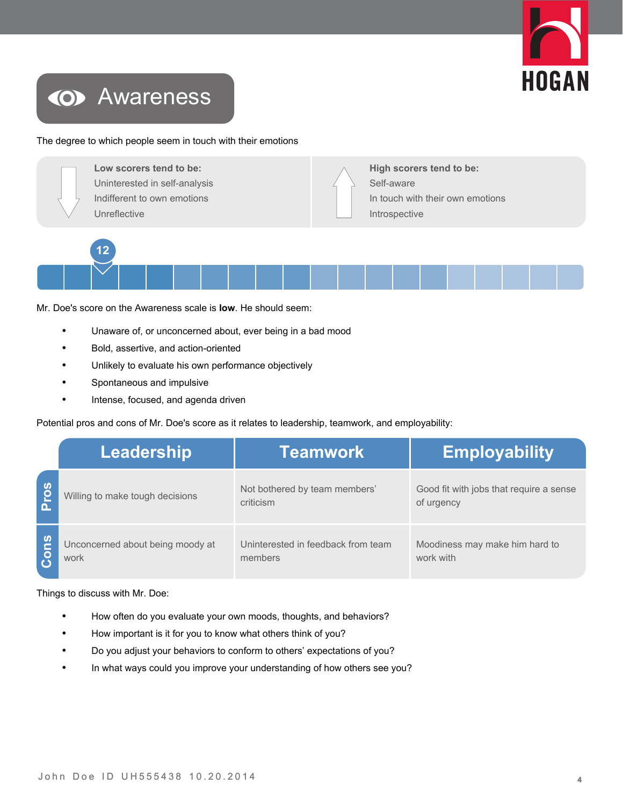

### **(O)** Awareness

#### The degree to which people seem in touch with their emotions



Mr. Doe's score on the Awareness scale is **low**. He should seem:

- Unaware of, or unconcerned about, ever being in a bad mood
- Bold, assertive, and action-oriented
- Unlikely to evaluate his own performance objectively
- Spontaneous and impulsive
- Intense, focused, and agenda driven

Potential pros and cons of Mr. Doe's score as it relates to leadership, teamwork, and employability:

|      | Leadership                               | <b>Teamwork</b>                               | <b>Employability</b>                                  |
|------|------------------------------------------|-----------------------------------------------|-------------------------------------------------------|
| Pros | Willing to make tough decisions          | Not bothered by team members'<br>criticism    | Good fit with jobs that require a sense<br>of urgency |
| Cons | Unconcerned about being moody at<br>work | Uninterested in feedback from team<br>members | Moodiness may make him hard to<br>work with           |

- How often do you evaluate your own moods, thoughts, and behaviors?
- How important is it for you to know what others think of you?
- Do you adjust your behaviors to conform to others' expectations of you?
- In what ways could you improve your understanding of how others see you?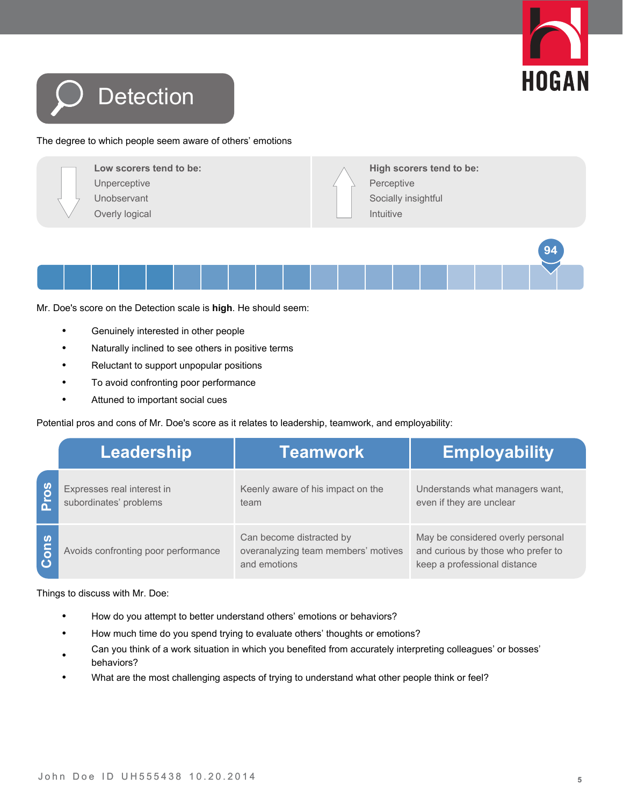



### The degree to which people seem aware of others' emotions



Mr. Doe's score on the Detection scale is **high**. He should seem:

- Genuinely interested in other people
- Naturally inclined to see others in positive terms
- Reluctant to support unpopular positions
- To avoid confronting poor performance
- Attuned to important social cues

Potential pros and cons of Mr. Doe's score as it relates to leadership, teamwork, and employability:

|      | Leadership                                           | <b>Teamwork</b>                                                                 | <b>Employability</b>                                                                                    |
|------|------------------------------------------------------|---------------------------------------------------------------------------------|---------------------------------------------------------------------------------------------------------|
| Pros | Expresses real interest in<br>subordinates' problems | Keenly aware of his impact on the<br>team                                       | Understands what managers want,<br>even if they are unclear                                             |
| Cons | Avoids confronting poor performance                  | Can become distracted by<br>overanalyzing team members' motives<br>and emotions | May be considered overly personal<br>and curious by those who prefer to<br>keep a professional distance |

- How do you attempt to better understand others' emotions or behaviors?
- How much time do you spend trying to evaluate others' thoughts or emotions?
- Can you think of a work situation in which you benefited from accurately interpreting colleagues' or bosses' behaviors?
- What are the most challenging aspects of trying to understand what other people think or feel?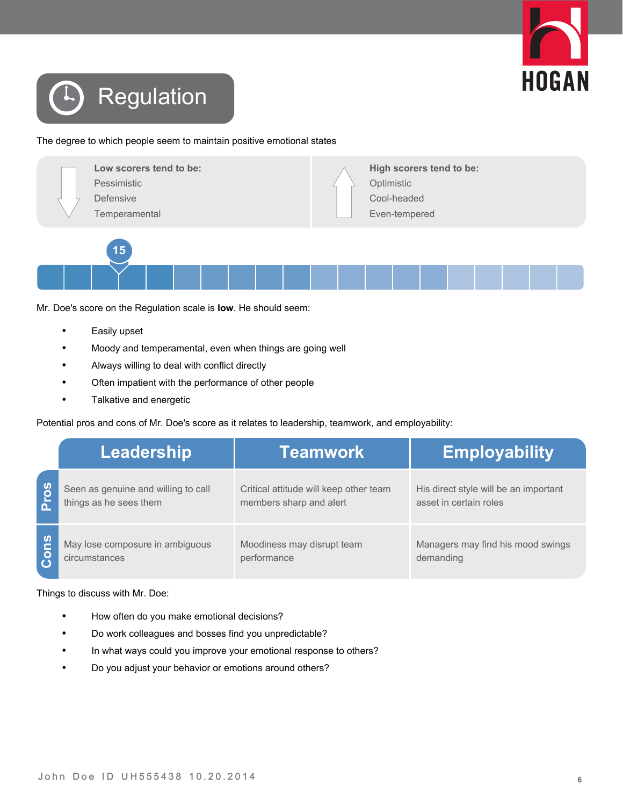



The degree to which people seem to maintain positive emotional states



Mr. Doe's score on the Regulation scale is **low**. He should seem:

- Easily upset
- Moody and temperamental, even when things are going well
- Always willing to deal with conflict directly
- Often impatient with the performance of other people
- Talkative and energetic

Potential pros and cons of Mr. Doe's score as it relates to leadership, teamwork, and employability:

|      | Leadership                          | <b>Teamwork</b>                        | <b>Employability</b>                  |
|------|-------------------------------------|----------------------------------------|---------------------------------------|
| Pros | Seen as genuine and willing to call | Critical attitude will keep other team | His direct style will be an important |
|      | things as he sees them              | members sharp and alert                | asset in certain roles                |
| Cons | May lose composure in ambiguous     | Moodiness may disrupt team             | Managers may find his mood swings     |
|      | circumstances                       | performance                            | demanding                             |

- How often do you make emotional decisions?
- Do work colleagues and bosses find you unpredictable?
- In what ways could you improve your emotional response to others?
- Do you adjust your behavior or emotions around others?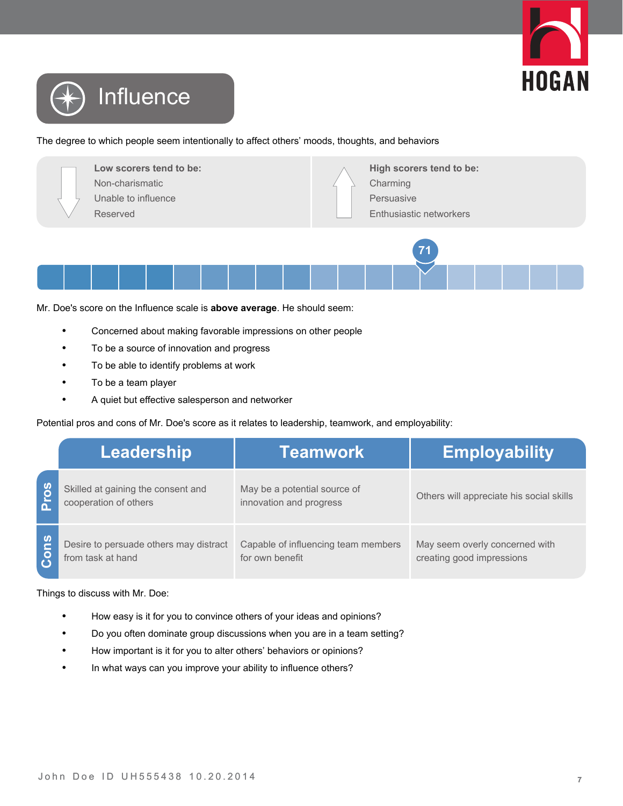



#### The degree to which people seem intentionally to affect others' moods, thoughts, and behaviors



Mr. Doe's score on the Influence scale is **above average**. He should seem:

- Concerned about making favorable impressions on other people
- To be a source of innovation and progress
- To be able to identify problems at work
- To be a team player
- A quiet but effective salesperson and networker

Potential pros and cons of Mr. Doe's score as it relates to leadership, teamwork, and employability:

|      | Leadership                                                  | <b>Teamwork</b>                                         | <b>Employability</b>                                        |
|------|-------------------------------------------------------------|---------------------------------------------------------|-------------------------------------------------------------|
| Pros | Skilled at gaining the consent and<br>cooperation of others | May be a potential source of<br>innovation and progress | Others will appreciate his social skills                    |
| Cons | Desire to persuade others may distract<br>from task at hand | Capable of influencing team members<br>for own benefit  | May seem overly concerned with<br>creating good impressions |

- How easy is it for you to convince others of your ideas and opinions?
- Do you often dominate group discussions when you are in a team setting?
- How important is it for you to alter others' behaviors or opinions?
- In what ways can you improve your ability to influence others?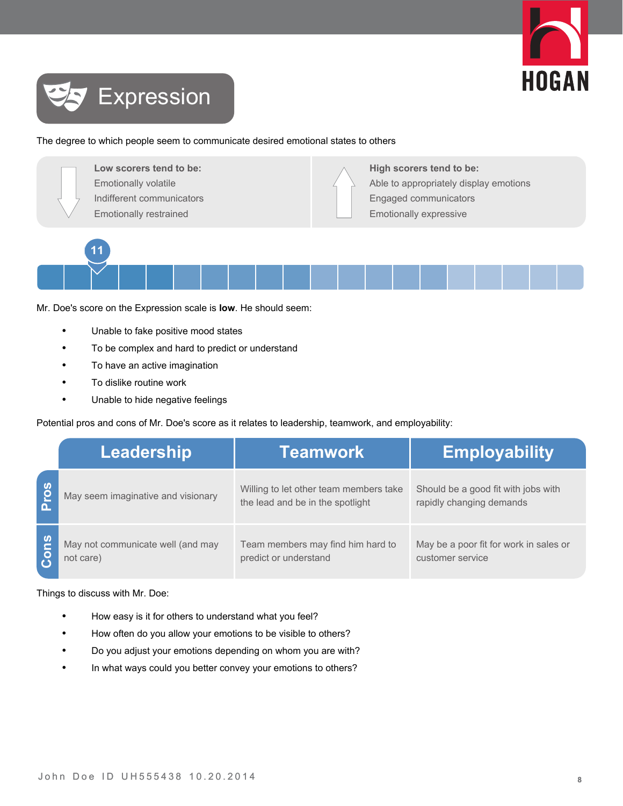



#### The degree to which people seem to communicate desired emotional states to others



Mr. Doe's score on the Expression scale is **low**. He should seem:

- Unable to fake positive mood states
- To be complex and hard to predict or understand
- To have an active imagination
- To dislike routine work
- Unable to hide negative feelings

Potential pros and cons of Mr. Doe's score as it relates to leadership, teamwork, and employability:

|                          | Leadership                                     | <b>Teamwork</b>                                                            | <b>Employability</b>                                            |
|--------------------------|------------------------------------------------|----------------------------------------------------------------------------|-----------------------------------------------------------------|
| Pros                     | May seem imaginative and visionary             | Willing to let other team members take<br>the lead and be in the spotlight | Should be a good fit with jobs with<br>rapidly changing demands |
| $\overline{\text{Cons}}$ | May not communicate well (and may<br>not care) | Team members may find him hard to<br>predict or understand                 | May be a poor fit for work in sales or<br>customer service      |

- How easy is it for others to understand what you feel?
- How often do you allow your emotions to be visible to others?
- Do you adjust your emotions depending on whom you are with?
- In what ways could you better convey your emotions to others?